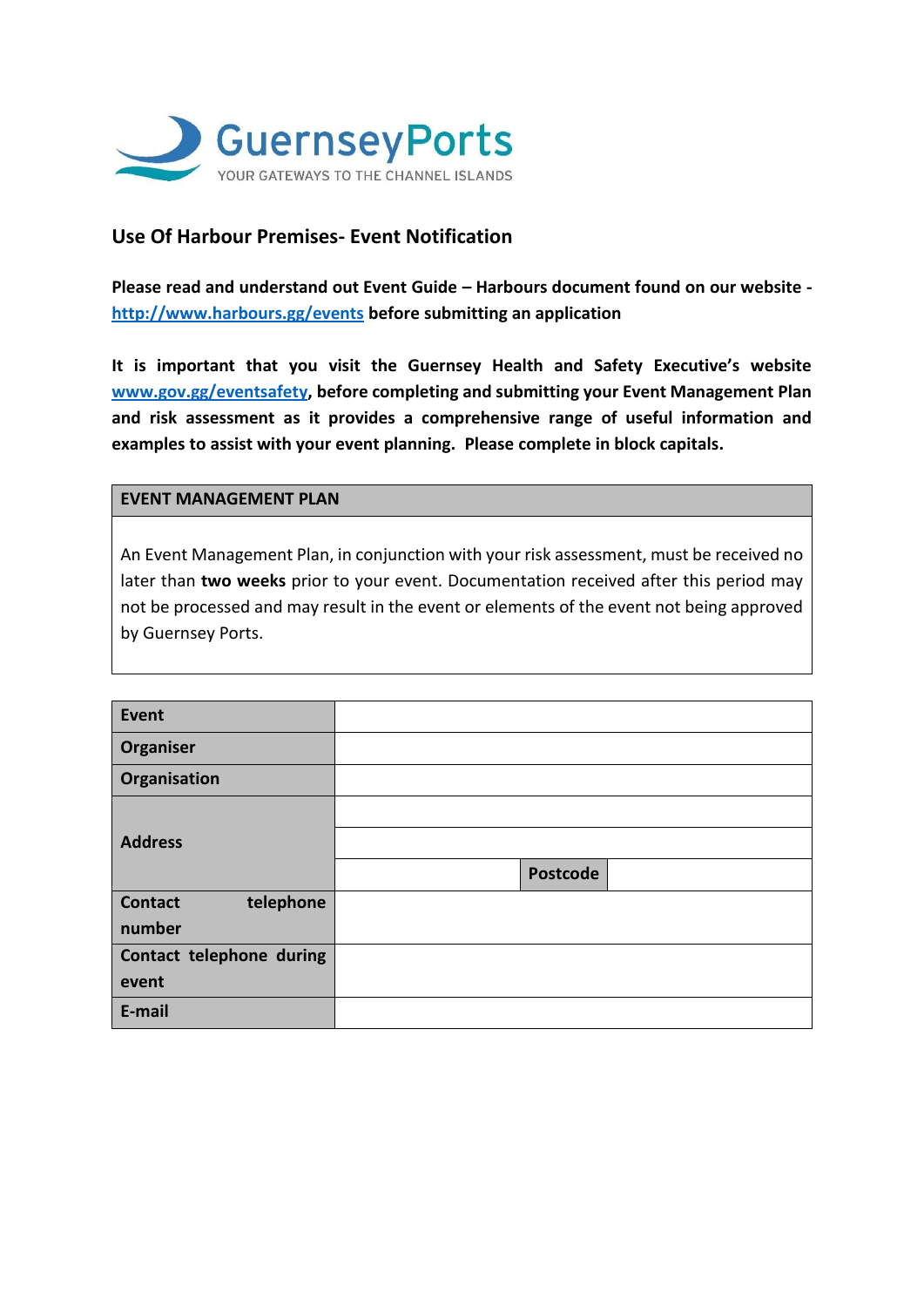

# **Use Of Harbour Premises- Event Notification**

**Please read and understand out Event Guide – Harbours document found on our website <http://www.harbours.gg/events> before submitting an application** 

**It is important that you visit the Guernsey Health and Safety Executive's website [www.gov.gg/eventsafety,](http://www.gov.gg/eventsafety) before completing and submitting your Event Management Plan and risk assessment as it provides a comprehensive range of useful information and examples to assist with your event planning. Please complete in block capitals.** 

#### **EVENT MANAGEMENT PLAN**

An Event Management Plan, in conjunction with your risk assessment, must be received no later than **two weeks** prior to your event. Documentation received after this period may not be processed and may result in the event or elements of the event not being approved by Guernsey Ports.

| Event                       |                 |  |
|-----------------------------|-----------------|--|
| Organiser                   |                 |  |
| Organisation                |                 |  |
|                             |                 |  |
| <b>Address</b>              |                 |  |
|                             | <b>Postcode</b> |  |
| telephone<br><b>Contact</b> |                 |  |
| number                      |                 |  |
| Contact telephone during    |                 |  |
| event                       |                 |  |
| E-mail                      |                 |  |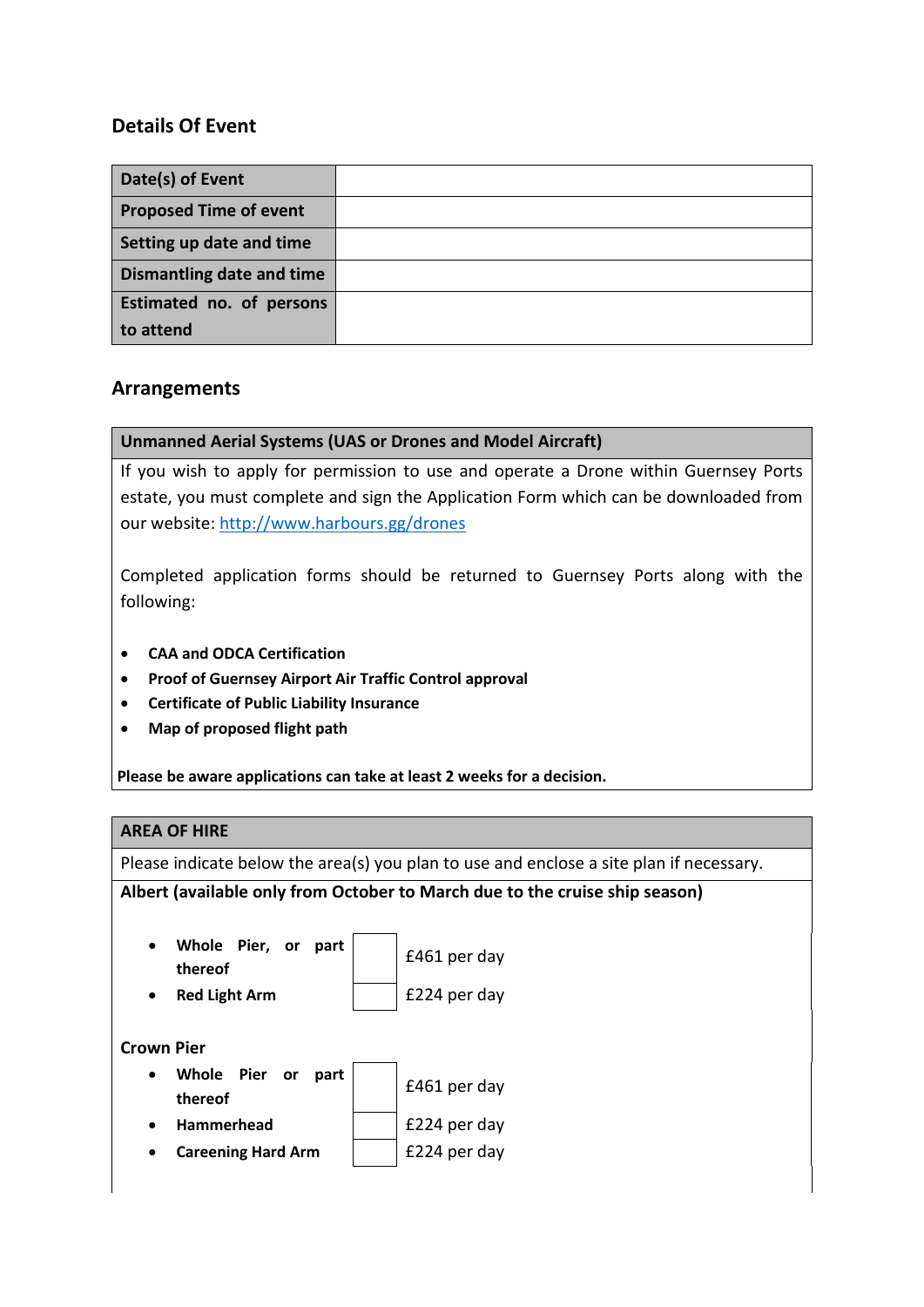# **Details Of Event**

| Date(s) of Event              |  |
|-------------------------------|--|
| <b>Proposed Time of event</b> |  |
| Setting up date and time      |  |
| Dismantling date and time     |  |
| Estimated no. of persons      |  |
| to attend                     |  |

## **Arrangements**

### **Unmanned Aerial Systems (UAS or Drones and Model Aircraft)**

If you wish to apply for permission to use and operate a Drone within Guernsey Ports estate, you must complete and sign the Application Form which can be downloaded from our website:<http://www.harbours.gg/drones>

Completed application forms should be returned to Guernsey Ports along with the following:

- **CAA and ODCA Certification**
- **Proof of Guernsey Airport Air Traffic Control approval**
- **Certificate of Public Liability Insurance**
- **Map of proposed flight path**

Please be aware applications can take at least 2 weeks for a decision.

### **AREA OF HIRE**

Please indicate below the area(s) you plan to use and enclose a site plan if necessary.

#### **Albert (available only from October to March due to the cruise ship season)**

| Whole Pier, or part<br>thereof |  | £461 per day |
|--------------------------------|--|--------------|
| <b>Red Light Arm</b>           |  | £224 per day |

### **Crown Pier**

| $\bullet$ | Whole Pier or part |  | £461 per day |
|-----------|--------------------|--|--------------|
|           | thereof            |  |              |
| $\bullet$ | Hammerhead         |  | £224 per day |

**Careening Hard Arm** | **E224 per day**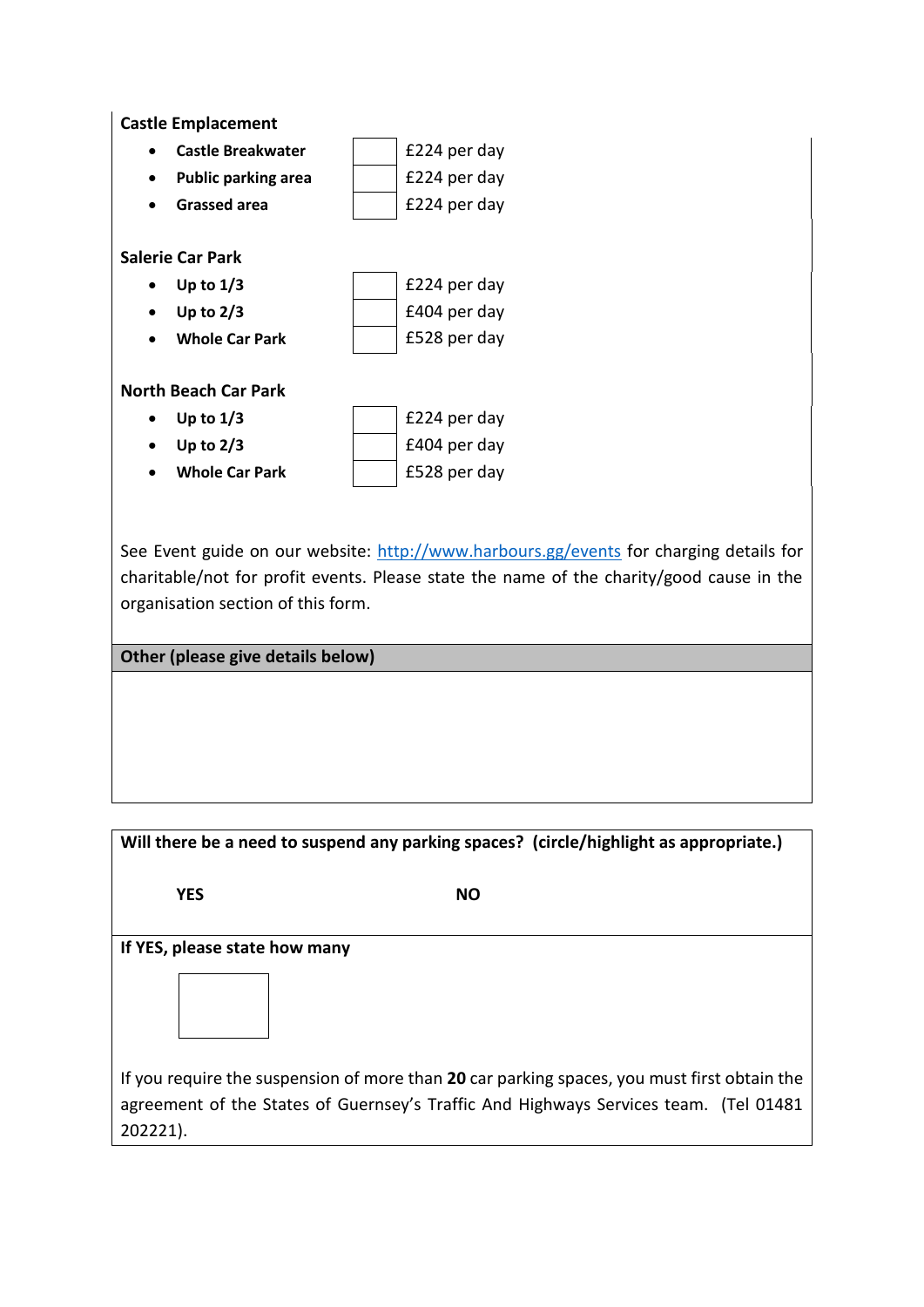

See Event guide on our website:<http://www.harbours.gg/events> for charging details for charitable/not for profit events. Please state the name of the charity/good cause in the organisation section of this form.

**Other (please give details below)**

| Will there be a need to suspend any parking spaces? (circle/highlight as appropriate.) |                                                                                                                                                                                      |  |  |
|----------------------------------------------------------------------------------------|--------------------------------------------------------------------------------------------------------------------------------------------------------------------------------------|--|--|
| <b>YES</b>                                                                             | <b>NO</b>                                                                                                                                                                            |  |  |
| If YES, please state how many                                                          |                                                                                                                                                                                      |  |  |
|                                                                                        |                                                                                                                                                                                      |  |  |
| 202221).                                                                               | If you require the suspension of more than 20 car parking spaces, you must first obtain the<br>agreement of the States of Guernsey's Traffic And Highways Services team. (Tel 01481) |  |  |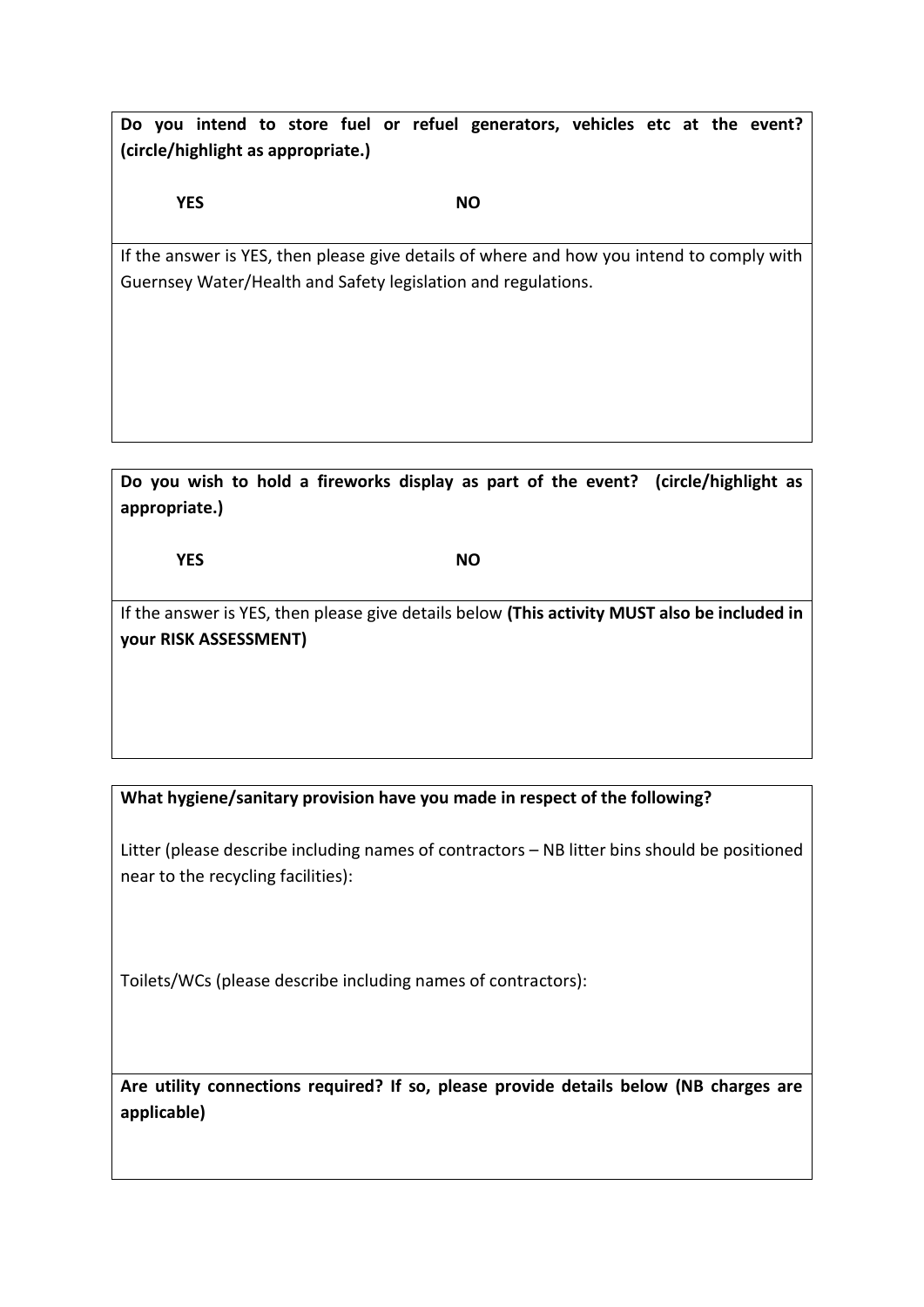**Do you intend to store fuel or refuel generators, vehicles etc at the event? (circle/highlight as appropriate.)**

**YES NO**

If the answer is YES, then please give details of where and how you intend to comply with Guernsey Water/Health and Safety legislation and regulations.

**Do you wish to hold a fireworks display as part of the event? (circle/highlight as appropriate.)**

**YES NO**

If the answer is YES, then please give details below **(This activity MUST also be included in your RISK ASSESSMENT)**

**What hygiene/sanitary provision have you made in respect of the following?**

Litter (please describe including names of contractors – NB litter bins should be positioned near to the recycling facilities):

Toilets/WCs (please describe including names of contractors):

**Are utility connections required? If so, please provide details below (NB charges are applicable)**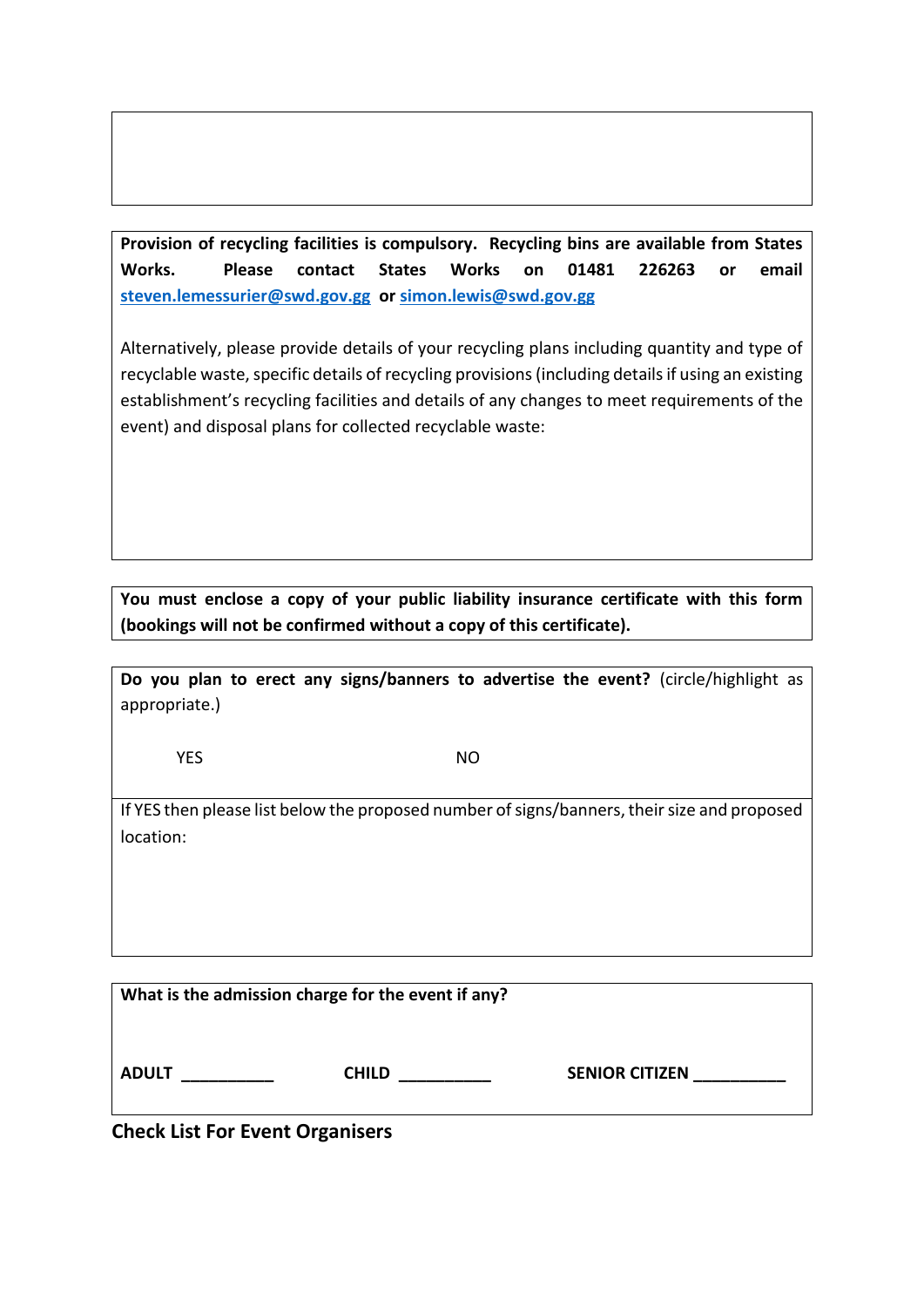**Provision of recycling facilities is compulsory. Recycling bins are available from States Works. Please contact States Works on 01481 226263 or email [steven.lemessurier@swd.gov.gg](mailto:steven.lemessurier@swd.gov.gg) o[r simon.lewis@swd.gov.gg](mailto:simon.lewis@swd.gov.gg)**

Alternatively, please provide details of your recycling plans including quantity and type of recyclable waste, specific details of recycling provisions (including details if using an existing establishment's recycling facilities and details of any changes to meet requirements of the event) and disposal plans for collected recyclable waste:

**You must enclose a copy of your public liability insurance certificate with this form (bookings will not be confirmed without a copy of this certificate).**

**Do you plan to erect any signs/banners to advertise the event?** (circle/highlight as appropriate.)

**YES** NO

If YES then please list below the proposed number of signs/banners, their size and proposed location:

| What is the admission charge for the event if any? |              |                       |
|----------------------------------------------------|--------------|-----------------------|
| <b>ADULT</b>                                       | <b>CHILD</b> | <b>SENIOR CITIZEN</b> |

**Check List For Event Organisers**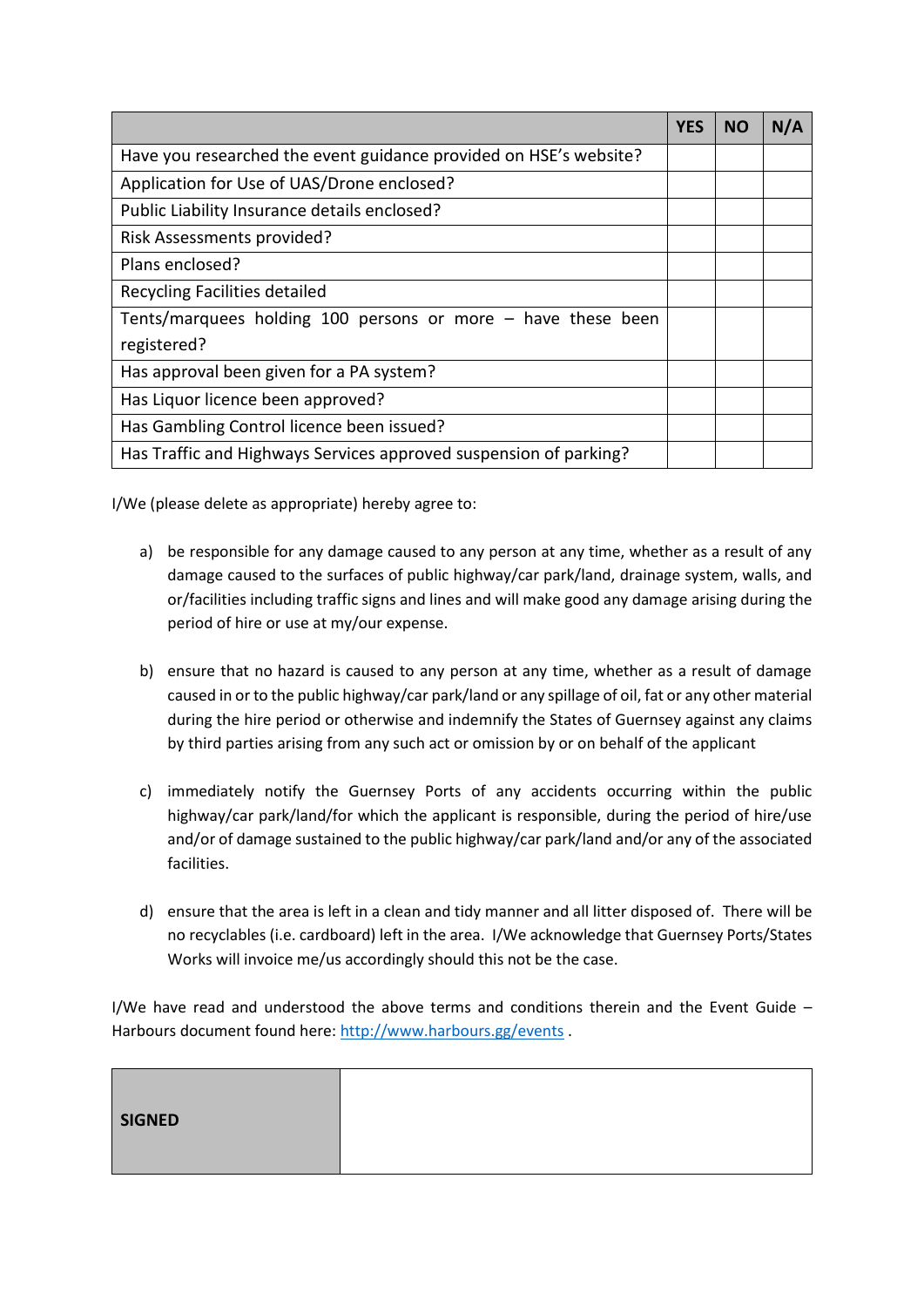|                                                                   | <b>YES</b> | <b>NO</b> | N/A |
|-------------------------------------------------------------------|------------|-----------|-----|
| Have you researched the event guidance provided on HSE's website? |            |           |     |
| Application for Use of UAS/Drone enclosed?                        |            |           |     |
| Public Liability Insurance details enclosed?                      |            |           |     |
| Risk Assessments provided?                                        |            |           |     |
| Plans enclosed?                                                   |            |           |     |
| Recycling Facilities detailed                                     |            |           |     |
| Tents/marquees holding 100 persons or more $-$ have these been    |            |           |     |
| registered?                                                       |            |           |     |
| Has approval been given for a PA system?                          |            |           |     |
| Has Liquor licence been approved?                                 |            |           |     |
| Has Gambling Control licence been issued?                         |            |           |     |
| Has Traffic and Highways Services approved suspension of parking? |            |           |     |

I/We (please delete as appropriate) hereby agree to:

- a) be responsible for any damage caused to any person at any time, whether as a result of any damage caused to the surfaces of public highway/car park/land, drainage system, walls, and or/facilities including traffic signs and lines and will make good any damage arising during the period of hire or use at my/our expense.
- b) ensure that no hazard is caused to any person at any time, whether as a result of damage caused in or to the public highway/car park/land or any spillage of oil, fat or any other material during the hire period or otherwise and indemnify the States of Guernsey against any claims by third parties arising from any such act or omission by or on behalf of the applicant
- c) immediately notify the Guernsey Ports of any accidents occurring within the public highway/car park/land/for which the applicant is responsible, during the period of hire/use and/or of damage sustained to the public highway/car park/land and/or any of the associated facilities.
- d) ensure that the area is left in a clean and tidy manner and all litter disposed of. There will be no recyclables (i.e. cardboard) left in the area. I/We acknowledge that Guernsey Ports/States Works will invoice me/us accordingly should this not be the case.

I/We have read and understood the above terms and conditions therein and the Event Guide  $-$ Harbours document found here:<http://www.harbours.gg/events> .

| <b>SIGNED</b> |  |
|---------------|--|
|               |  |